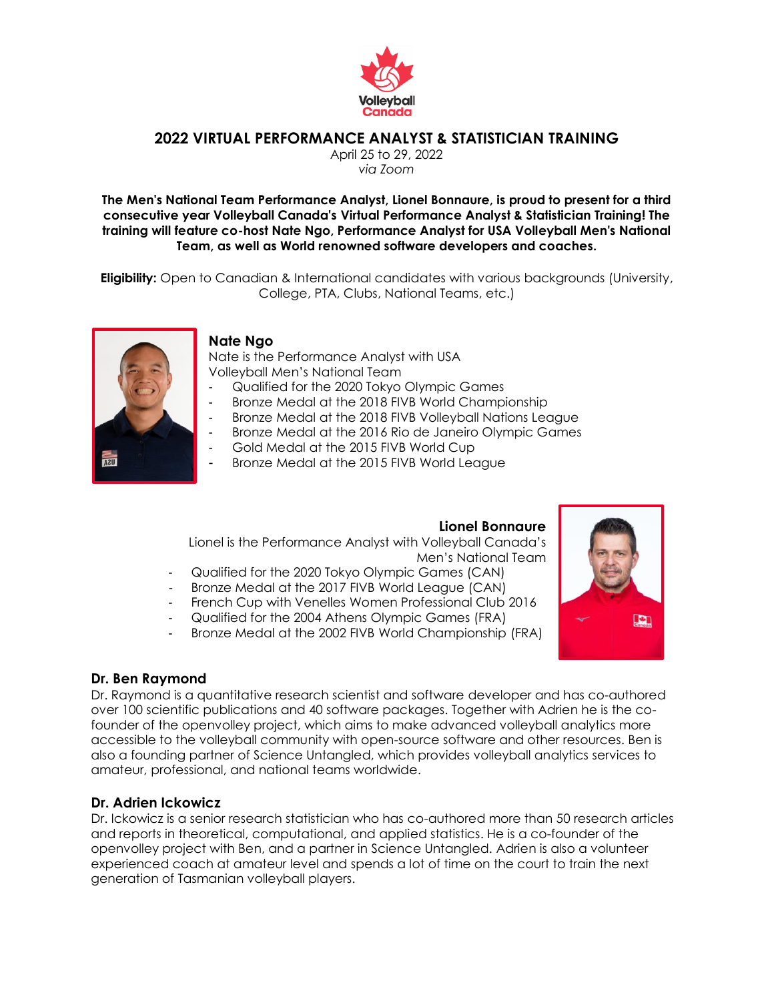

## **2022 VIRTUAL PERFORMANCE ANALYST & STATISTICIAN TRAINING**

April 25 to 29, 2022 *via Zoom*

**The Men's National Team Performance Analyst, Lionel Bonnaure, is proud to present for a third consecutive year Volleyball Canada's Virtual Performance Analyst & Statistician Training! The training will feature co-host Nate Ngo, Performance Analyst for USA Volleyball Men's National Team, as well as World renowned software developers and coaches.**

**Eligibility:** Open to Canadian & International candidates with various backgrounds (University, College, PTA, Clubs, National Teams, etc.)



#### **Nate Ngo**

Nate is the Performance Analyst with USA Volleyball Men's National Team

- Qualified for the 2020 Tokyo Olympic Games
- Bronze Medal at the 2018 FIVB World Championship
- Bronze Medal at the 2018 FIVB Volleyball Nations League
- Bronze Medal at the 2016 Rio de Janeiro Olympic Games
- Gold Medal at the 2015 FIVB World Cup
- Bronze Medal at the 2015 FIVB World League

#### **Lionel Bonnaure**

Lionel is the Performance Analyst with Volleyball Canada's Men's National Team

- Qualified for the 2020 Tokyo Olympic Games (CAN)
- Bronze Medal at the 2017 FIVB World League (CAN)
- French Cup with Venelles Women Professional Club 2016
- Qualified for the 2004 Athens Olympic Games (FRA)
- Bronze Medal at the 2002 FIVB World Championship (FRA)

#### **Dr. Ben Raymond**

Dr. Raymond is a quantitative research scientist and software developer and has co-authored over 100 scientific publications and 40 software packages. Together with Adrien he is the cofounder of the openvolley project, which aims to make advanced volleyball analytics more accessible to the volleyball community with open-source software and other resources. Ben is also a founding partner of Science Untangled, which provides volleyball analytics services to amateur, professional, and national teams worldwide.

#### **Dr. Adrien Ickowicz**

Dr. Ickowicz is a senior research statistician who has co-authored more than 50 research articles and reports in theoretical, computational, and applied statistics. He is a co-founder of the openvolley project with Ben, and a partner in Science Untangled. Adrien is also a volunteer experienced coach at amateur level and spends a lot of time on the court to train the next generation of Tasmanian volleyball players.